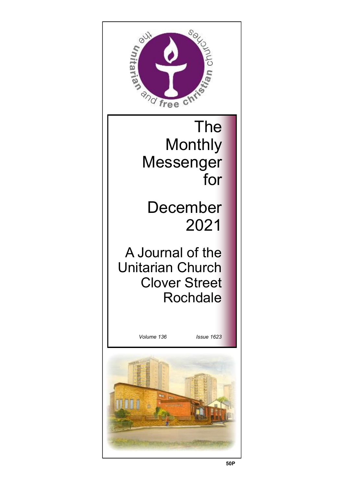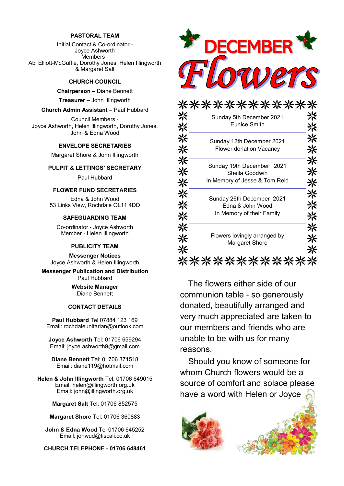## **PASTORAL TEAM**

Initial Contact & Co-ordinator - Joyce Ashworth Members - Abi Elliott-McGuffie, Dorothy Jones, Helen Illingworth & Margaret Salt

## **CHURCH COUNCIL**

**Chairperson** – Diane Bennett

**Treasurer** – John Illingworth

## **Church Admin Assistant** – Paul Hubbard

Council Members - Joyce Ashworth, Helen Illingworth, Dorothy Jones, John & Edna Wood

## **ENVELOPE SECRETARIES**

Margaret Shore & John Illingworth

## **PULPIT & LETTINGS' SECRETARY**

Paul Hubbard

## **FLOWER FUND SECRETARIES**

Edna & John Wood 53 Links View, Rochdale OL11 4DD

## **SAFEGUARDING TEAM**

Co-ordinator - Joyce Ashworth Member - Helen Illingworth

### **PUBLICITY TEAM**

**Messenger Notices** Joyce Ashworth & Helen Illingworth

**Messenger Publication and Distribution** Paul Hubbard

> **Website Manager**  Diane Bennett

## **CONTACT DETAILS**

**Paul Hubbard** Tel 07884 123 169 Email: rochdaleunitarian@outlook.com

**Joyce Ashworth** Tel: 01706 659294 Email: joyce.ashworth9@gmail.com

**Diane Bennett** Tel: 01706 371518 Email: diane119@hotmail.com

**Helen & John Illingworth** Tel: 01706 649015 Email: helen@illingworth.org.uk Email: john@illingworth.org.uk

**Margaret Salt** Tel: 01706 852575

**Margaret Shore** Tel: 01706 360883

**John & Edna Wood** Tel 01706 645252 Email: jonwud@tiscali.co.uk

**CHURCH TELEPHONE - 01706 648461**



|    | Sunday 5th December 2021                                                     |  |
|----|------------------------------------------------------------------------------|--|
| ⊰⊱ | <b>Eunice Smith</b>                                                          |  |
|    | Sunday 12th December 2021<br><b>Flower donation Vacancy</b>                  |  |
|    | Sunday 19th December 2021<br>Sheila Goodwin<br>In Memory of Jesse & Tom Reid |  |
| ⋇  | Sunday 26th December 2021<br>Edna & John Wood<br>In Memory of their Family   |  |
|    | Flowers lovingly arranged by<br><b>Margaret Shore</b>                        |  |
|    |                                                                              |  |

The flowers either side of our communion table - so generously donated, beautifully arranged and very much appreciated are taken to our members and friends who are unable to be with us for many reasons.

Should you know of someone for whom Church flowers would be a source of comfort and solace please have a word with Helen or Joyce

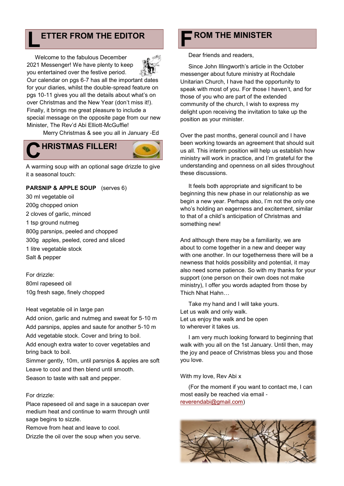# **L** ETTER FROM THE EDITOR **ROM THE MINISTER**

Welcome to the fabulous December 2021 Messenger! We have plenty to keep you entertained over the festive period.



Our calendar on pgs 6-7 has all the important dates for your diaries, whilst the double-spread feature on pgs 10-11 gives you all the details about what's on over Christmas and the New Year (don't miss it!). Finally, it brings me great pleasure to include a special message on the opposite page from our new Minister, The Rev'd Abi Elliott-McGuffie!

Merry Christmas & see you all in January -Ed

## **C HRISTMAS FILLER!**

A warming soup with an optional sage drizzle to give it a seasonal touch:

## **PARSNIP & APPLE SOUP** (serves 6)

30 ml vegetable oil 200g chopped onion 2 cloves of garlic, minced 1 tsp ground nutmeg 800g parsnips, peeled and chopped 300g apples, peeled, cored and sliced 1 litre vegetable stock Salt & pepper

For drizzle: 80ml rapeseed oil 10g fresh sage, finely chopped

## Heat vegetable oil in large pan

Add onion, garlic and nutmeg and sweat for 5-10 m Add parsnips, apples and saute for another 5-10 m Add vegetable stock. Cover and bring to boil. Add enough extra water to cover vegetables and bring back to boil.

Simmer gently, 10m, until parsnips & apples are soft Leave to cool and then blend until smooth. Season to taste with salt and pepper.

## For drizzle:

Place rapeseed oil and sage in a saucepan over medium heat and continue to warm through until sage begins to sizzle.

Remove from heat and leave to cool.

Drizzle the oil over the soup when you serve.

# **F**

Dear friends and readers,

Since John Illingworth's article in the October messenger about future ministry at Rochdale Unitarian Church, I have had the opportunity to speak with most of you. For those I haven't, and for those of you who are part of the extended community of the church, I wish to express my delight upon receiving the invitation to take up the position as your minister.

Over the past months, general council and I have been working towards an agreement that should suit us all. This interim position will help us establish how ministry will work in practice, and I'm grateful for the understanding and openness on all sides throughout these discussions.

It feels both appropriate and significant to be beginning this new phase in our relationship as we begin a new year. Perhaps also, I'm not the only one who's holding an eagerness and excitement, similar to that of a child's anticipation of Christmas and something new!

And although there may be a familiarity, we are about to come together in a new and deeper way with one another. In our togetherness there will be a newness that holds possibility and potential, it may also need some patience. So with my thanks for your support (one person on their own does not make ministry), I offer you words adapted from those by Thich Nhat Hahn…

Take my hand and I will take yours. Let us walk and only walk. Let us enjoy the walk and be open to wherever it takes us.

I am very much looking forward to beginning that walk with you all on the 1st January. Until then, may the joy and peace of Christmas bless you and those you love.

## With my love, Rev Abi x

(For the moment if you want to contact me, I can most easily be reached via email [reverendabi@gmail.com\)](mailto:reverendabi@gmail.com)

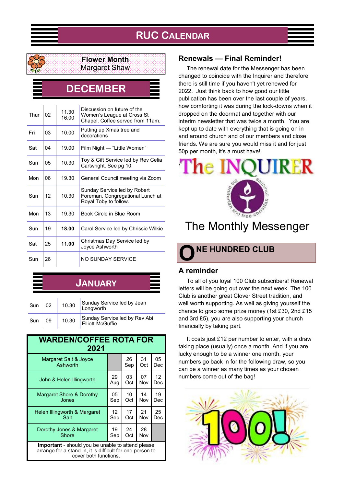## **RUC CALENDAR**



## **Flower Month** Margaret Shaw

**DECEMBER**

| Thur | 02 | 11.30<br>16.00 | Discussion on future of the<br>Women's League at Cross St<br>Chapel. Coffee served from 11am. |
|------|----|----------------|-----------------------------------------------------------------------------------------------|
| Fri  | 03 | 10.00          | Putting up Xmas tree and<br>decorations                                                       |
| Sat  | 04 | 19.00          | Film Night - "Little Women"                                                                   |
| Sun  | 05 | 10.30          | Toy & Gift Service led by Rev Celia<br>Cartwright. See pg 10.                                 |
| Mon  | 06 | 19.30          | General Council meeting via Zoom                                                              |
| Sun  | 12 | 10.30          | Sunday Service led by Robert<br>Foreman. Congregational Lunch at<br>Royal Toby to follow.     |
| Mon  | 13 | 19.30          | Book Circle in Blue Room                                                                      |
| Sun  | 19 | 18.00          | Carol Service led by Chrissie Wilkie                                                          |
| Sat  | 25 | 11.00          | Christmas Day Service led by<br>Joyce Ashworth                                                |
| Sun  | 26 |                | NO SUNDAY SERVICE                                                                             |

# **JANUARY**  $\left| \begin{array}{c} \mathbf{0} \\ \mathbf{1} \\ \mathbf{0} \end{array} \right|$  10.30 Sunday Service led by Jean

| <b>UULL</b> | ∣ ∪∠ | 10.00 | Longworth                                         |
|-------------|------|-------|---------------------------------------------------|
| Sun         | l 09 | 10.30 | Sunday Service led by Rev Abi<br>Elliott-McGuffie |

#### **WARDEN/COFFEE ROTA FOR 2021** Margaret Salt & Joyce **Ashworth** 26 Sep 31 Oct 05 Dec John & Helen Illingworth <sup>29</sup> Aug 03 Oct 07 Nov 12 Dec Margaret Shore & Dorothy Jones 05 Sep 10 Oct 14 Nov 19 Dec Helen Illingworth & Margaret Salt 12 Sep 17 Oct 21 Nov 25 Dec Dorothy Jones & Margaret **Shore** 19 Sep 24 Oct 28 Nov **Important** - should you be unable to attend please arrange for a stand-in, it is difficult for one person to cover both functions.

## **Renewals — Final Reminder!**

The renewal date for the Messenger has been changed to coincide with the Inquirer and therefore there is still time if you haven't yet renewed for 2022. Just think back to how good our little publication has been over the last couple of years, how comforting it was during the lock-downs when it dropped on the doormat and together with our interim newsletter that was twice a month. You are kept up to date with everything that is going on in and around church and of our members and close friends. We are sure you would miss it and for just 50p per month, it's a must have!

# $\Gamma$ he IN

# The Monthly Messenger



## **A reminder**

To all of you loyal 100 Club subscribers! Renewal letters will be going out over the next week. The 100 Club is another great Clover Street tradition, and well worth supporting. As well as giving yourself the chance to grab some prize money (1st £30, 2nd £15 and 3rd £5), you are also supporting your church financially by taking part.

It costs just £12 per number to enter, with a draw taking place (usually) once a month. And if you are lucky enough to be a winner one month, your numbers go back in for the following draw, so you can be a winner as many times as your chosen numbers come out of the bag!

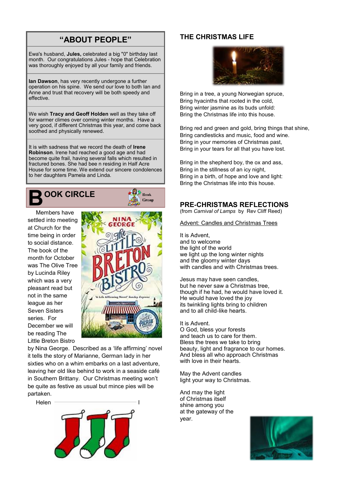## **"ABOUT PEOPLE"**

Ewa's husband, **Jules,** celebrated a big "0" birthday last month. Our congratulations Jules - hope that Celebration was thoroughly enjoyed by all your family and friends.

**Ian Dawson**, has very recently undergone a further operation on his spine. We send our love to both Ian and Anne and trust that recovery will be both speedy and effective.

We wish **Tracy and Geoff Holden** well as they take off for warmer climes over coming winter months. Have a very good, if different Christmas this year, and come back soothed and physically renewed.

It is with sadness that we record the death of **Irene Robinson**. Irene had reached a good age and had become quite frail, having several falls which resulted in fractured bones. She had bee n residing in Half Acre House for some time. We extend our sincere condolences to her daughters Pamela and Linda.



Members have settled into meeting at Church for the time being in order to social distance. The book of the month for October was The Olive Tree by Lucinda Riley which was a very pleasant read but not in the same league as her Seven Sisters series. For December we will be reading The Little Breton Bistro



 $\bigoplus_{\mathrm{B}}$   $\bigcup_{\mathrm{B}}$ Group

by Nina George. Described as a 'life affirming' novel it tells the story of Marianne, German lady in her sixties who on a whim embarks on a last adventure, leaving her old like behind to work in a seaside café in Southern Brittany. Our Christmas meeting won't be quite as festive as usual but mince pies will be partaken.

**Helen** 



## **THE CHRISTMAS LIFE**



Bring in a tree, a young Norwegian spruce, Bring hyacinths that rooted in the cold, Bring winter jasmine as its buds unfold: Bring the Christmas life into this house.

Bring red and green and gold, bring things that shine, Bring candlesticks and music, food and wine. Bring in your memories of Christmas past, Bring in your tears for all that you have lost.

Bring in the shepherd boy, the ox and ass, Bring in the stillness of an icy night, Bring in a birth, of hope and love and light: Bring the Christmas life into this house.

## **PRE-CHRISTMAS REFLECTIONS**

(from *Carnival of Lamps* by Rev Cliff Reed)

**Advent: Candles and Christmas Trees** 

It is Advent, and to welcome the light of the world we light up the long winter nights and the gloomy winter days with candles and with Christmas trees.

Jesus may have seen candles, but he never saw a Christmas tree, though if he had, he would have loved it. He would have loved the joy its twinkling lights bring to children and to all child-like hearts.

It is Advent. O God, bless your forests and teach us to care for them. Bless the trees we take to bring beauty, light and fragrance to our homes. And bless all who approach Christmas with love in their hearts.

May the Advent candles light your way to Christmas.

And may the light of Christmas itself shine among you at the gateway of the year.

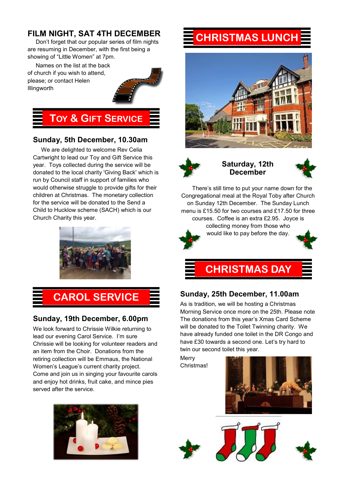## **FILM NIGHT, SAT 4TH DECEMBER**

Don't forget that our popular series of film nights are resuming in December, with the first being a showing of "Little Women" at 7pm.

Names on the list at the back of church if you wish to attend, please; or contact Helen Illingworth



## **TOY & GIFT SERVICE**

## **Sunday, 5th December, 10.30am**

We are delighted to welcome Rev Celia Cartwright to lead our Toy and Gift Service this year. Toys collected during the service will be donated to the local charity 'Giving Back' which is run by Council staff in support of families who would otherwise struggle to provide gifts for their children at Christmas. The monetary collection for the service will be donated to the Send a Child to Hucklow scheme (SACH) which is our Church Charity this year.



# **CAROL SERVICE**

## **Sunday, 19th December, 6.00pm**

We look forward to Chrissie Wilkie returning to lead our evening Carol Service. I'm sure Chrissie will be looking for volunteer readers and an item from the Choir. Donations from the retiring collection will be Emmaus, the National Women's League's current charity project. Come and join us in singing your favourite carols and enjoy hot drinks, fruit cake, and mince pies served after the service.



# **CHRISTMAS LUNCH**





**Saturday, 12th December**



There's still time to put your name down for the Congregational meal at the Royal Toby after Church on Sunday 12th December. The Sunday Lunch menu is £15.50 for two courses and £17.50 for three courses. Coffee is an extra £2.95. Joyce is collecting money from those who would like to pay before the day.







## **Sunday, 25th December, 11.00am**

As is tradition, we will be hosting a Christmas Morning Service once more on the 25th. Please note The donations from this year's Xmas Card Scheme will be donated to the Toilet Twinning charity. We have already funded one toilet in the DR Congo and have £30 towards a second one. Let's try hard to twin our second toilet this year.

**Merry** Christmas!